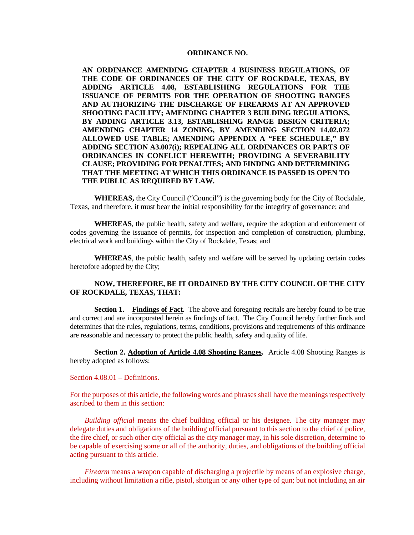## **ORDINANCE NO.**

**AN ORDINANCE AMENDING CHAPTER 4 BUSINESS REGULATIONS, OF THE CODE OF ORDINANCES OF THE CITY OF ROCKDALE, TEXAS, BY ADDING ARTICLE 4.08, ESTABLISHING REGULATIONS FOR THE ISSUANCE OF PERMITS FOR THE OPERATION OF SHOOTING RANGES AND AUTHORIZING THE DISCHARGE OF FIREARMS AT AN APPROVED SHOOTING FACILITY; AMENDING CHAPTER 3 BUILDING REGULATIONS, BY ADDING ARTICLE 3.13, ESTABLISHING RANGE DESIGN CRITERIA; AMENDING CHAPTER 14 ZONING, BY AMENDING SECTION 14.02.072 ALLOWED USE TABLE; AMENDING APPENDIX A "FEE SCHEDULE," BY ADDING SECTION A3.007(i); REPEALING ALL ORDINANCES OR PARTS OF ORDINANCES IN CONFLICT HEREWITH; PROVIDING A SEVERABILITY CLAUSE; PROVIDING FOR PENALTIES; AND FINDING AND DETERMINING THAT THE MEETING AT WHICH THIS ORDINANCE IS PASSED IS OPEN TO THE PUBLIC AS REQUIRED BY LAW.**

**WHEREAS,** the City Council ("Council") is the governing body for the City of Rockdale, Texas, and therefore, it must bear the initial responsibility for the integrity of governance; and

**WHEREAS**, the public health, safety and welfare, require the adoption and enforcement of codes governing the issuance of permits, for inspection and completion of construction, plumbing, electrical work and buildings within the City of Rockdale, Texas; and

**WHEREAS**, the public health, safety and welfare will be served by updating certain codes heretofore adopted by the City;

## **NOW, THEREFORE, BE IT ORDAINED BY THE CITY COUNCIL OF THE CITY OF ROCKDALE, TEXAS, THAT:**

**Section 1. Findings of Fact.** The above and foregoing recitals are hereby found to be true and correct and are incorporated herein as findings of fact. The City Council hereby further finds and determines that the rules, regulations, terms, conditions, provisions and requirements of this ordinance are reasonable and necessary to protect the public health, safety and quality of life.

**Section 2. Adoption of Article 4.08 Shooting Ranges.** Article 4.08 Shooting Ranges is hereby adopted as follows:

## Section 4.08.01 – Definitions.

For the purposes of this article, the following words and phrases shall have the meanings respectively ascribed to them in this section:

*Building official* means the chief building official or his designee. The city manager may delegate duties and obligations of the building official pursuant to this section to the chief of police, the fire chief, or such other city official as the city manager may, in his sole discretion, determine to be capable of exercising some or all of the authority, duties, and obligations of the building official acting pursuant to this article.

*Firearm* means a weapon capable of discharging a projectile by means of an explosive charge, including without limitation a rifle, pistol, shotgun or any other type of gun; but not including an air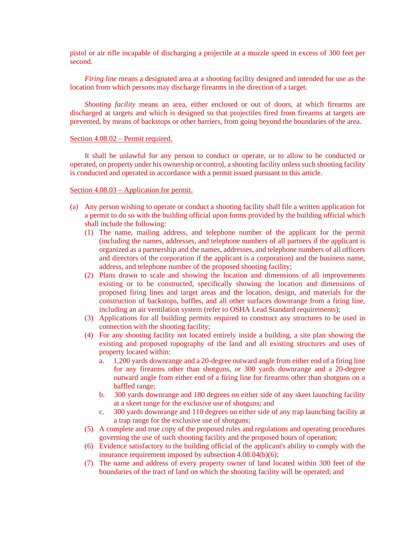pistol or air rifle incapable of discharging a projectile at a muzzle speed in excess of 300 feet per second.

*Firing line* means a designated area at a shooting facility designed and intended for use as the location from which persons may discharge firearms in the direction of a target.

*Shooting facility* means an area, either enclosed or out of doors, at which firearms are discharged at targets and which is designed so that projectiles fired from firearms at targets are prevented, by means of backstops or other barriers, from going beyond the boundaries of the area.

## Section 4.08.02 – Permit required.

It shall be unlawful for any person to conduct or operate, or to allow to be conducted or operated, on property under his ownership or control, a shooting facility unless such shooting facility is conducted and operated in accordance with a permit issued pursuant to this article.

## Section 4.08.03 – Application for permit.

- (a) Any person wishing to operate or conduct a shooting facility shall file a written application for a permit to do so with the building official upon forms provided by the building official which shall include the following:
	- (1) The name, mailing address, and telephone number of the applicant for the permit (including the names, addresses, and telephone numbers of all partners if the applicant is organized as a partnership and the names, addresses, and telephone numbers of all officers and directors of the corporation if the applicant is a corporation) and the business name, address, and telephone number of the proposed shooting facility;
	- (2) Plans drawn to scale and showing the location and dimensions of all improvements existing or to be constructed, specifically showing the location and dimensions of proposed firing lines and target areas and the location, design, and materials for the construction of backstops, baffles, and all other surfaces downrange from a firing line, including an air ventilation system (refer to OSHA Lead Standard requirements);
	- (3) Applications for all building permits required to construct any structures to be used in connection with the shooting facility;
	- (4) For any shooting facility not located entirely inside a building, a site plan showing the existing and proposed topography of the land and all existing structures and uses of property located within:
		- a. 1,200 yards downrange and a 20-degree outward angle from either end of a firing line for any firearms other than shotguns, or 300 yards downrange and a 20-degree outward angle from either end of a firing line for firearms other than shotguns on a baffled range;
		- b. 300 yards downrange and 180 degrees on either side of any skeet launching facility at a skeet range for the exclusive use of shotguns; and
		- c. 300 yards downrange and 110 degrees on either side of any trap launching facility at a trap range for the exclusive use of shotguns;
	- (5) A complete and true copy of the proposed rules and regulations and operating procedures governing the use of such shooting facility and the proposed hours of operation;
	- (6) Evidence satisfactory to the building official of the applicant's ability to comply with the insurance requirement imposed by subsection 4.08.04(b)(6);
	- (7) The name and address of every property owner of land located within 300 feet of the boundaries of the tract of land on which the shooting facility will be operated; and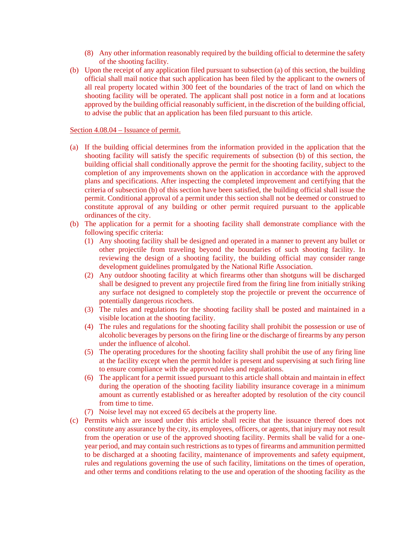- (8) Any other information reasonably required by the building official to determine the safety of the shooting facility.
- (b) Upon the receipt of any application filed pursuant to subsection (a) of this section, the building official shall mail notice that such application has been filed by the applicant to the owners of all real property located within 300 feet of the boundaries of the tract of land on which the shooting facility will be operated. The applicant shall post notice in a form and at locations approved by the building official reasonably sufficient, in the discretion of the building official, to advise the public that an application has been filed pursuant to this article.

## Section 4.08.04 – Issuance of permit.

- (a) If the building official determines from the information provided in the application that the shooting facility will satisfy the specific requirements of subsection (b) of this section, the building official shall conditionally approve the permit for the shooting facility, subject to the completion of any improvements shown on the application in accordance with the approved plans and specifications. After inspecting the completed improvement and certifying that the criteria of subsection (b) of this section have been satisfied, the building official shall issue the permit. Conditional approval of a permit under this section shall not be deemed or construed to constitute approval of any building or other permit required pursuant to the applicable ordinances of the city.
- (b) The application for a permit for a shooting facility shall demonstrate compliance with the following specific criteria:
	- (1) Any shooting facility shall be designed and operated in a manner to prevent any bullet or other projectile from traveling beyond the boundaries of such shooting facility. In reviewing the design of a shooting facility, the building official may consider range development guidelines promulgated by the National Rifle Association.
	- (2) Any outdoor shooting facility at which firearms other than shotguns will be discharged shall be designed to prevent any projectile fired from the firing line from initially striking any surface not designed to completely stop the projectile or prevent the occurrence of potentially dangerous ricochets.
	- (3) The rules and regulations for the shooting facility shall be posted and maintained in a visible location at the shooting facility.
	- (4) The rules and regulations for the shooting facility shall prohibit the possession or use of alcoholic beverages by persons on the firing line or the discharge of firearms by any person under the influence of alcohol.
	- (5) The operating procedures for the shooting facility shall prohibit the use of any firing line at the facility except when the permit holder is present and supervising at such firing line to ensure compliance with the approved rules and regulations.
	- (6) The applicant for a permit issued pursuant to this article shall obtain and maintain in effect during the operation of the shooting facility liability insurance coverage in a minimum amount as currently established or as hereafter adopted by resolution of the city council from time to time.
	- (7) Noise level may not exceed 65 decibels at the property line.
- (c) Permits which are issued under this article shall recite that the issuance thereof does not constitute any assurance by the city, its employees, officers, or agents, that injury may not result from the operation or use of the approved shooting facility. Permits shall be valid for a oneyear period, and may contain such restrictions as to types of firearms and ammunition permitted to be discharged at a shooting facility, maintenance of improvements and safety equipment, rules and regulations governing the use of such facility, limitations on the times of operation, and other terms and conditions relating to the use and operation of the shooting facility as the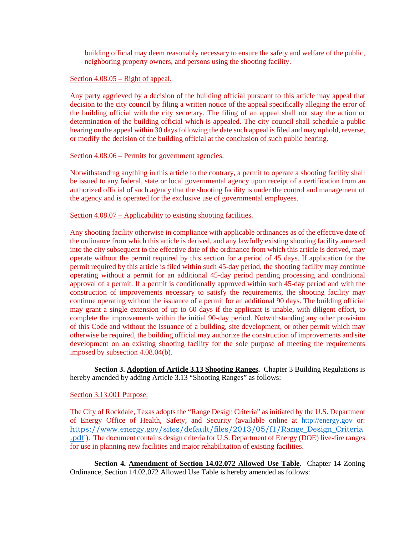building official may deem reasonably necessary to ensure the safety and welfare of the public, neighboring property owners, and persons using the shooting facility.

## Section 4.08.05 – Right of appeal.

Any party aggrieved by a decision of the building official pursuant to this article may appeal that decision to the city council by filing a written notice of the appeal specifically alleging the error of the building official with the city secretary. The filing of an appeal shall not stay the action or determination of the building official which is appealed. The city council shall schedule a public hearing on the appeal within 30 days following the date such appeal is filed and may uphold, reverse, or modify the decision of the building official at the conclusion of such public hearing.

## Section 4.08.06 – Permits for government agencies.

Notwithstanding anything in this article to the contrary, a permit to operate a shooting facility shall be issued to any federal, state or local governmental agency upon receipt of a certification from an authorized official of such agency that the shooting facility is under the control and management of the agency and is operated for the exclusive use of governmental employees.

## Section 4.08.07 – Applicability to existing shooting facilities.

Any shooting facility otherwise in compliance with applicable ordinances as of the effective date of the ordinance from which this article is derived, and any lawfully existing shooting facility annexed into the city subsequent to the effective date of the ordinance from which this article is derived, may operate without the permit required by this section for a period of 45 days. If application for the permit required by this article is filed within such 45-day period, the shooting facility may continue operating without a permit for an additional 45-day period pending processing and conditional approval of a permit. If a permit is conditionally approved within such 45-day period and with the construction of improvements necessary to satisfy the requirements, the shooting facility may continue operating without the issuance of a permit for an additional 90 days. The building official may grant a single extension of up to 60 days if the applicant is unable, with diligent effort, to complete the improvements within the initial 90-day period. Notwithstanding any other provision of this Code and without the issuance of a building, site development, or other permit which may otherwise be required, the building official may authorize the construction of improvements and site development on an existing shooting facility for the sole purpose of meeting the requirements imposed by subsection 4.08.04(b).

**Section 3. Adoption of Article 3.13 Shooting Ranges.** Chapter 3 Building Regulations is hereby amended by adding Article 3.13 "Shooting Ranges" as follows:

## Section 3.13.001 Purpose.

The City of Rockdale, Texas adopts the "Range Design Criteria" as initiated by the U.S. Department of Energy Office of Health, Safety, and Security (available online at [http://energy.gov](http://energy.gov/) or: [https://www.energy.gov/sites/default/files/2013/05/f1/Range\\_Design\\_Criteria](https://www.energy.gov/sites/default/files/2013/05/f1/Range_Design_Criteria.pdf) [.pdf](https://www.energy.gov/sites/default/files/2013/05/f1/Range_Design_Criteria.pdf) ). The document contains design criteria for U.S. Department of Energy (DOE) live-fire ranges for use in planning new facilities and major rehabilitation of existing facilities.

**Section 4. Amendment of Section 14.02.072 Allowed Use Table.** Chapter 14 Zoning Ordinance, Section 14.02.072 Allowed Use Table is hereby amended as follows: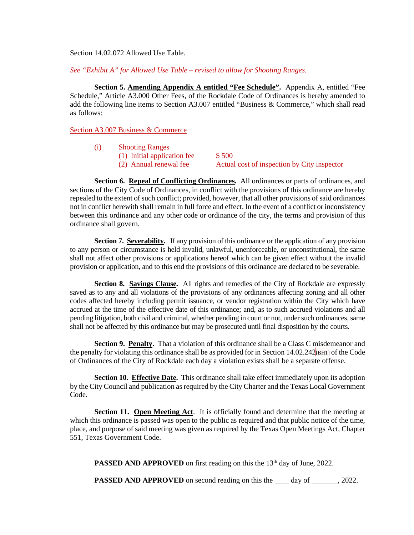Section 14.02.072 Allowed Use Table.

*See "Exhibit A" for Allowed Use Table – revised to allow for Shooting Ranges.*

**Section 5. Amending Appendix A entitled "Fee Schedule".** Appendix A, entitled "Fee Schedule," Article A3.000 Other Fees, of the Rockdale Code of Ordinances is hereby amended to add the following line items to Section A3.007 entitled "Business & Commerce," which shall read as follows:

Section A3.007 Business & Commerce

- (i) Shooting Ranges
	- (1) Initial application fee  $$500$ <br>(2) Annual renewal fee Actual
		-

Actual cost of inspection by City inspector

**Section 6. Repeal of Conflicting Ordinances.** All ordinances or parts of ordinances, and sections of the City Code of Ordinances, in conflict with the provisions of this ordinance are hereby repealed to the extent of such conflict; provided, however, that all other provisions of said ordinances not in conflict herewith shall remain in full force and effect. In the event of a conflict or inconsistency between this ordinance and any other code or ordinance of the city, the terms and provision of this ordinance shall govern.

**Section 7. Severability.** If any provision of this ordinance or the application of any provision to any person or circumstance is held invalid, unlawful, unenforceable, or unconstitutional, the same shall not affect other provisions or applications hereof which can be given effect without the invalid provision or application, and to this end the provisions of this ordinance are declared to be severable.

**Section 8. Savings Clause.** All rights and remedies of the City of Rockdale are expressly saved as to any and all violations of the provisions of any ordinances affecting zoning and all other codes affected hereby including permit issuance, or vendor registration within the City which have accrued at the time of the effective date of this ordinance; and, as to such accrued violations and all pending litigation, both civil and criminal, whether pending in court or not, under such ordinances, same shall not be affected by this ordinance but may be prosecuted until final disposition by the courts.

**Section 9. Penalty.** That a violation of this ordinance shall be a Class C misdemeanor and the penalty for violating this ordinance shall be as provided for in Section  $14.02.242$ [BH1] of the Code of Ordinances of the City of Rockdale each day a violation exists shall be a separate offense.

**Section 10. Effective Date.** This ordinance shall take effect immediately upon its adoption by the City Council and publication as required by the City Charter and the Texas Local Government Code.

**Section 11. Open Meeting Act**. It is officially found and determine that the meeting at which this ordinance is passed was open to the public as required and that public notice of the time, place, and purpose of said meeting was given as required by the Texas Open Meetings Act, Chapter 551, Texas Government Code.

**PASSED AND APPROVED** on first reading on this the 13<sup>th</sup> day of June, 2022.

**PASSED AND APPROVED** on second reading on this the day of , 2022.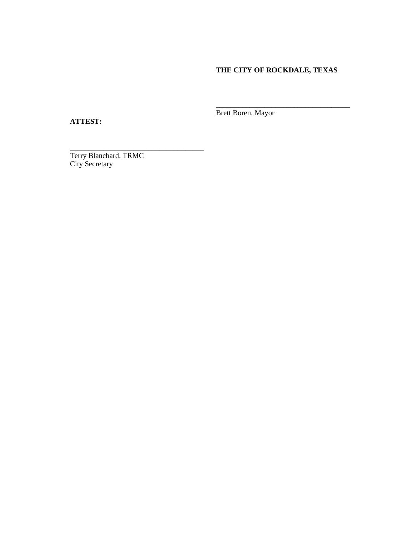# **THE CITY OF ROCKDALE, TEXAS**

\_\_\_\_\_\_\_\_\_\_\_\_\_\_\_\_\_\_\_\_\_\_\_\_\_\_\_\_\_\_\_\_\_\_\_\_

**ATTEST:**

Brett Boren, Mayor

Terry Blanchard, TRMC City Secretary

\_\_\_\_\_\_\_\_\_\_\_\_\_\_\_\_\_\_\_\_\_\_\_\_\_\_\_\_\_\_\_\_\_\_\_\_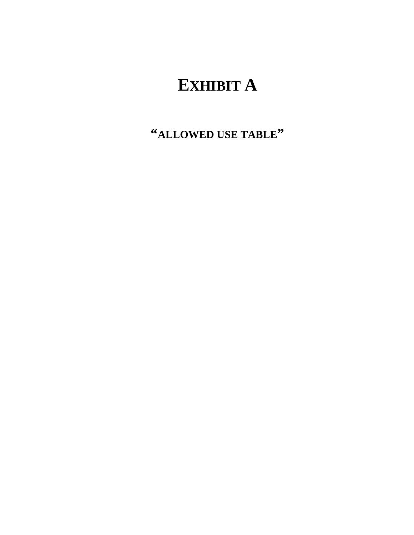# **EXHIBIT A**

**"ALLOWED USE TABLE"**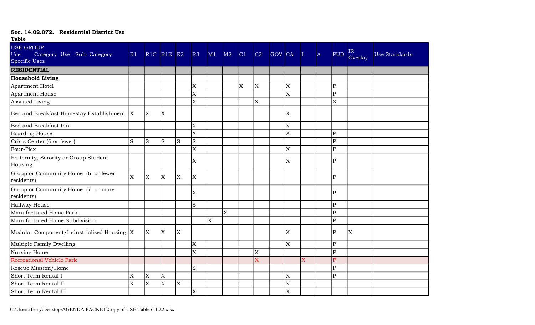| <b>Table</b>                                                          |          |                                                |                         |              |                           |    |    |    |    |        |                           |   |           |                                                                                                                                                               |               |               |
|-----------------------------------------------------------------------|----------|------------------------------------------------|-------------------------|--------------|---------------------------|----|----|----|----|--------|---------------------------|---|-----------|---------------------------------------------------------------------------------------------------------------------------------------------------------------|---------------|---------------|
| <b>USE GROUP</b><br>Category Use Sub-Category<br>Use<br>Specific Uses | R1       | R <sub>1C</sub> R <sub>1E</sub> R <sub>2</sub> |                         |              | R3                        | M1 | M2 | C1 | C2 | GOV CA |                           |   | $\Lambda$ | <b>PUD</b>                                                                                                                                                    | IR<br>Overlay | Use Standards |
| <b>RESIDENTIAL</b>                                                    |          |                                                |                         |              |                           |    |    |    |    |        |                           |   |           |                                                                                                                                                               |               |               |
| <b>Household Living</b>                                               |          |                                                |                         |              |                           |    |    |    |    |        |                           |   |           |                                                                                                                                                               |               |               |
| Apartment Hotel                                                       |          |                                                |                         |              | $\overline{\mathrm{X}}$   |    |    | X  | X  |        | $\overline{\mathrm{x}}$   |   |           | ${\bf P}$                                                                                                                                                     |               |               |
| Apartment House                                                       |          |                                                |                         |              | $\overline{X}$            |    |    |    |    |        | $\overline{\mathrm{X}}$   |   |           | $\mathbf{P}$                                                                                                                                                  |               |               |
| Assisted Living                                                       |          |                                                |                         |              | X                         |    |    |    | X  |        |                           |   |           | X                                                                                                                                                             |               |               |
| Bed and Breakfast Homestay Establishment  X                           |          | $\mathbf{X}$                                   | <sup>X</sup>            |              |                           |    |    |    |    |        | $\overline{\mathrm{X}}$   |   |           |                                                                                                                                                               |               |               |
| Bed and Breakfast Inn                                                 |          |                                                |                         |              | $\overline{\mathrm{x}}$   |    |    |    |    |        | $\overline{\mathrm{x}}$   |   |           |                                                                                                                                                               |               |               |
| <b>Boarding House</b>                                                 |          |                                                |                         |              | $\overline{X}$            |    |    |    |    |        | X                         |   |           | $\mathbf P$                                                                                                                                                   |               |               |
| Crisis Center (6 or fewer)                                            | lS.      | S                                              | S                       | <sub>S</sub> | S                         |    |    |    |    |        |                           |   |           | $\mathbf{P}$                                                                                                                                                  |               |               |
| Four-Plex                                                             |          |                                                |                         |              | $\overline{\mathrm{X}}$   |    |    |    |    |        | $\overline{\mathrm{X}}$   |   |           | $\overline{\mathrm{P}}$                                                                                                                                       |               |               |
| Fraternity, Sorority or Group Student<br>Housing                      |          |                                                |                         |              | $\boldsymbol{\mathrm{X}}$ |    |    |    |    |        | $\mathbf X$               |   |           | ${\bf P}$                                                                                                                                                     |               |               |
| Group or Community Home (6 or fewer<br>residents)                     | <b>X</b> | X                                              | <b>X</b>                | X.           | $\overline{\mathrm{X}}$   |    |    |    |    |        |                           |   |           | $\mathbf{P}$                                                                                                                                                  |               |               |
| Group or Community Home (7 or more<br>residents)                      |          |                                                |                         |              | X                         |    |    |    |    |        |                           |   |           | P                                                                                                                                                             |               |               |
| Halfway House                                                         |          |                                                |                         |              | $\mathbf S$               |    |    |    |    |        |                           |   |           | $\overline{P}$                                                                                                                                                |               |               |
| Manufactured Home Park                                                |          |                                                |                         |              |                           |    | Ιx |    |    |        |                           |   |           | $\mathsf{P}% _{0}\!\left( \mathcal{M}_{0}\right) ^{T}\!\left( \mathcal{M}_{0}\right) ^{T}\!\left( \mathcal{M}_{0}\right) ^{T}\!\left( \mathcal{M}_{0}\right)$ |               |               |
| Manufactured Home Subdivision                                         |          |                                                |                         |              |                           | X  |    |    |    |        |                           |   |           | ${\bf P}$                                                                                                                                                     |               |               |
| Modular Component/Industrialized Housing  X                           |          | X                                              | <sup>X</sup>            | X.           |                           |    |    |    |    |        | $\boldsymbol{\mathrm{X}}$ |   |           | ${\bf P}$                                                                                                                                                     | X             |               |
| Multiple Family Dwelling                                              |          |                                                |                         |              | $\mathbf x$               |    |    |    |    |        | $\mathbf x$               |   |           | ${\bf P}$                                                                                                                                                     |               |               |
| Nursing Home                                                          |          |                                                |                         |              | X                         |    |    |    | X  |        |                           |   |           | ${\bf P}$                                                                                                                                                     |               |               |
| Recreational Vehicle Park                                             |          |                                                |                         |              |                           |    |    |    | X  |        |                           | X |           | $\overline{\mathbf{P}}$                                                                                                                                       |               |               |
| Rescue Mission/Home                                                   |          |                                                |                         |              | S                         |    |    |    |    |        |                           |   |           | $\overline{P}$                                                                                                                                                |               |               |
| Short Term Rental I                                                   | X        | X                                              | $\overline{\mathrm{X}}$ |              |                           |    |    |    |    |        | X                         |   |           | $\overline{P}$                                                                                                                                                |               |               |
| Short Term Rental II                                                  | X.       | X                                              | X                       | X            |                           |    |    |    |    |        | X                         |   |           |                                                                                                                                                               |               |               |
| Short Term Rental III                                                 |          |                                                |                         |              | $\vert$ X                 |    |    |    |    |        | $\overline{\mathrm{X}}$   |   |           |                                                                                                                                                               |               |               |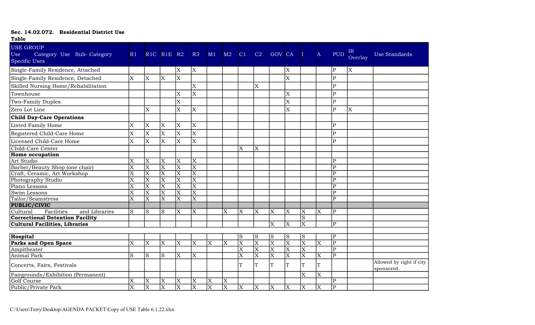| 1 avic                                                                |                         |                         |                                                |                         |                         |                         |                       |                         |                         |                         |                         |                         |                         |                         |               |                                        |
|-----------------------------------------------------------------------|-------------------------|-------------------------|------------------------------------------------|-------------------------|-------------------------|-------------------------|-----------------------|-------------------------|-------------------------|-------------------------|-------------------------|-------------------------|-------------------------|-------------------------|---------------|----------------------------------------|
| <b>USE GROUP</b><br>Use<br>Category Use Sub-Category<br>Specific Uses | R1                      |                         | R <sub>1C</sub> R <sub>1E</sub> R <sub>2</sub> |                         | R3                      | M1                      | M2                    | C1                      | C2                      | <b>GOV CA</b>           |                         | П                       | $\mathbf{A}$            | <b>PUD</b>              | IR<br>Overlay | <b>Use Standards</b>                   |
| Single-Family Residence, Attached                                     |                         |                         |                                                | X                       | X                       |                         |                       |                         |                         |                         | X                       |                         |                         | P                       | X             |                                        |
| Single-Family Residence, Detached                                     | $\mathbf x$             | X                       | X                                              | $\mathbf X$             |                         |                         |                       |                         |                         |                         | X                       |                         |                         | $\overline{P}$          |               |                                        |
| Skilled Nursing Home/Rehabilitation                                   |                         |                         |                                                |                         | X                       |                         |                       |                         | X                       |                         |                         |                         |                         | $\overline{P}$          |               |                                        |
| Townhouse                                                             |                         |                         |                                                | X                       | X                       |                         |                       |                         |                         |                         | X                       |                         |                         | $\overline{\mathrm{P}}$ |               |                                        |
| Two-Family Duplex                                                     |                         |                         |                                                | X                       |                         |                         |                       |                         |                         |                         | X                       |                         |                         | $\overline{P}$          |               |                                        |
| Zero Lot Line                                                         |                         | X                       |                                                | X                       | X                       |                         |                       |                         |                         |                         | X                       |                         |                         | $\overline{P}$          | X             |                                        |
| <b>Child Day-Care Operations</b>                                      |                         |                         |                                                |                         |                         |                         |                       |                         |                         |                         |                         |                         |                         |                         |               |                                        |
| Listed Family Home                                                    | X                       | X                       | ΙX                                             | X                       | X                       |                         |                       |                         |                         |                         |                         |                         |                         | $\overline{\mathrm{P}}$ |               |                                        |
| Registered Child-Care Home                                            | $\mathbf X$             | X                       | lx                                             | X                       | $\overline{X}$          |                         |                       |                         |                         |                         |                         |                         |                         | $\overline{P}$          |               |                                        |
| Licensed Child-Care Home                                              | $\mathbf X$             | X                       | $\vert$ X                                      | X                       | $\overline{X}$          |                         |                       |                         |                         |                         |                         |                         |                         | P                       |               |                                        |
| Child-Care Center                                                     |                         |                         |                                                |                         |                         |                         |                       | X                       | $\mathbf X$             |                         |                         |                         |                         |                         |               |                                        |
| <b>Home occupation</b>                                                |                         |                         |                                                |                         |                         |                         |                       |                         |                         |                         |                         |                         |                         |                         |               |                                        |
| Art Studio                                                            | X                       | X                       | ΙX                                             | X                       | X                       |                         |                       |                         |                         |                         |                         |                         |                         | $\overline{P}$          |               |                                        |
| Barber/Beauty Shop (one chair)                                        | X                       | $\overline{\mathrm{X}}$ | $\overline{\mathrm{X}}$                        | $\overline{\text{X}}$   | $\overline{\mathrm{X}}$ |                         |                       |                         |                         |                         |                         |                         |                         | $\overline{P}$          |               |                                        |
| Craft, Ceramic, Art Workshop                                          | X                       | $\overline{\text{X}}$   | $\overline{\mathrm{x}}$                        | $\overline{\text{X}}$   | $\overline{\text{X}}$   |                         |                       |                         |                         |                         |                         |                         |                         | $\overline{\text{P}}$   |               |                                        |
| Photography Studio                                                    | $\overline{\text{X}}$   | $\overline{\text{X}}$   | $\overline{\mathrm{X}}$                        | $\overline{\text{X}}$   | $\overline{\text{X}}$   |                         |                       |                         |                         |                         |                         |                         |                         | $\overline{\text{P}}$   |               |                                        |
| Piano Lessons                                                         | X                       | X                       | ΙX                                             | $\overline{\text{X}}$   | $\overline{\text{X}}$   |                         |                       |                         |                         |                         |                         |                         |                         | $\overline{P}$          |               |                                        |
| Swim Lessons                                                          | X                       | $\overline{\text{X}}$   | $\overline{\mathrm{X}}$                        | $\overline{\text{X}}$   | $\overline{\mathrm{x}}$ |                         |                       |                         |                         |                         |                         |                         |                         | $\overline{\mathrm{P}}$ |               |                                        |
| Tailor/Seamstress                                                     | $\overline{\mathrm{X}}$ | $\overline{\text{X}}$   | $\overline{\text{X}}$                          | $\overline{\mathrm{X}}$ | $\overline{\text{X}}$   |                         |                       |                         |                         |                         |                         |                         |                         | P                       |               |                                        |
| PUBLIC/CIVIC                                                          |                         |                         |                                                |                         |                         |                         |                       |                         |                         |                         |                         |                         |                         |                         |               |                                        |
| Cultural<br>Facilities<br>and Libraries                               | ls                      | S                       | lS                                             | X                       | X                       |                         | X                     | $\overline{\mathrm{X}}$ | X                       | X                       | X                       | X                       | ΙX                      | $\overline{P}$          |               |                                        |
| <b>Correctional Detention Facility</b>                                |                         |                         |                                                |                         |                         |                         |                       |                         |                         |                         |                         | S                       |                         |                         |               |                                        |
| <b>Cultural Facilities, Libraries</b>                                 |                         |                         |                                                |                         |                         |                         |                       |                         |                         | $\overline{\mathrm{X}}$ | $\overline{\mathrm{X}}$ | $\overline{\mathrm{X}}$ |                         | $\overline{\mathrm{P}}$ |               |                                        |
|                                                                       |                         |                         |                                                |                         |                         |                         |                       |                         |                         |                         |                         |                         |                         |                         |               |                                        |
| Hospital                                                              |                         |                         |                                                |                         |                         |                         |                       | $\vert S$               | S                       | S                       | S                       | <sub>S</sub>            |                         | $\overline{\text{P}}$   |               |                                        |
| Parks and Open Space                                                  | X                       | X                       | $\overline{\mathrm{X}}$                        | $\overline{\mathrm{X}}$ | X                       | $\overline{X}$          | X                     | $\overline{X}$          | $\overline{\mathrm{X}}$ | $\overline{\mathrm{x}}$ | $\overline{\text{X}}$   | $\overline{\text{X}}$   | $\overline{\mathrm{x}}$ | $\overline{P}$          |               |                                        |
| Ampitheater                                                           |                         |                         |                                                |                         |                         |                         |                       | $\overline{\text{X}}$   | $\overline{\mathrm{X}}$ | $\overline{\mathrm{X}}$ | $\overline{\text{X}}$   | $\overline{\text{X}}$   |                         | $\overline{\mathsf{P}}$ |               |                                        |
| Animal Park                                                           | S                       | S                       | ls                                             | X                       | X                       |                         |                       | $\overline{\mathrm{X}}$ | $\overline{\mathrm{X}}$ | $\overline{\mathrm{x}}$ | $\overline{\text{X}}$   | $\overline{\text{X}}$   | ΙX                      | $\overline{P}$          |               |                                        |
| Concerts, Fairs, Festivals                                            |                         |                         |                                                |                         |                         |                         |                       | ፐ                       | T                       | T                       | T                       | T                       |                         |                         |               | Allowed by right if city<br>sponsored. |
| Fairgrounds/Exhibition (Permanent)                                    |                         |                         |                                                |                         |                         |                         |                       |                         |                         |                         |                         | $\overline{\mathrm{X}}$ | ΙX                      |                         |               |                                        |
| Golf Course                                                           | X                       | X                       | X                                              | X                       | X                       | $\mathbf X$             | $\mathbf X$           |                         |                         |                         |                         |                         |                         | $\overline{\mathrm{P}}$ |               |                                        |
| Public/Private Park                                                   | $\overline{\mathrm{X}}$ | $\overline{\text{X}}$   | $\overline{\mathrm{X}}$                        | $\overline{\text{X}}$   | $\overline{\text{X}}$   | $\overline{\mathrm{X}}$ | $\overline{\text{X}}$ | X                       | X                       | X                       | X                       | $\overline{X}$          | $\overline{\mathrm{X}}$ | $\overline{P}$          |               |                                        |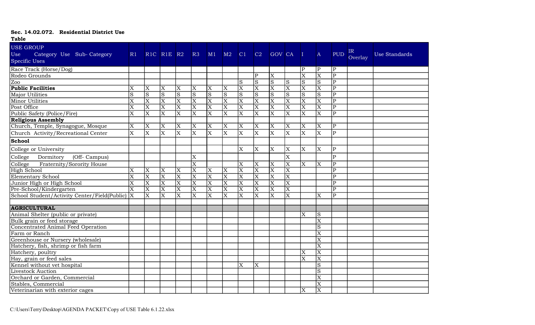| <b>Table</b>                                                                 |                         |                         |                                                |                         |                         |                           |                         |                         |                         |                         |                         |                         |                         |                         |               |               |
|------------------------------------------------------------------------------|-------------------------|-------------------------|------------------------------------------------|-------------------------|-------------------------|---------------------------|-------------------------|-------------------------|-------------------------|-------------------------|-------------------------|-------------------------|-------------------------|-------------------------|---------------|---------------|
| <b>USE GROUP</b><br>Use<br>Category Use Sub-Category<br><b>Specific Uses</b> | R1                      |                         | R <sub>1C</sub> R <sub>1E</sub> R <sub>2</sub> |                         | R3                      | M1                        | M2                      | C1                      | C2                      | <b>GOV CA</b>           |                         |                         | $\mathbf{A}$            | <b>PUD</b>              | IR<br>Overlay | Use Standards |
| Race Track (Horse/Dog)                                                       |                         |                         |                                                |                         |                         |                           |                         |                         |                         |                         |                         | P                       | P                       | P                       |               |               |
| Rodeo Grounds                                                                |                         |                         |                                                |                         |                         |                           |                         |                         | $\mathbf{p}$            | $\overline{\mathrm{X}}$ |                         | $\overline{\mathrm{X}}$ | $\overline{\mathrm{X}}$ | $\overline{P}$          |               |               |
| $Z_{00}$                                                                     |                         |                         |                                                |                         |                         |                           |                         |                         | S                       | S                       | S                       | <sub>S</sub>            | S                       | P                       |               |               |
| <b>Public Facilities</b>                                                     |                         | X                       | X                                              | X                       | $\overline{\mathrm{X}}$ | X                         | X                       | $\overline{X}$          | $\overline{X}$          | $\overline{X}$          | $\overline{X}$          | $\overline{X}$          | $\overline{\text{X}}$   | $\overline{P}$          |               |               |
| Major Utilities                                                              | S                       | $\overline{S}$          | $\overline{\mathbf{s}}$                        | $\overline{S}$          | $\overline{S}$          | $\overline{S}$            | $\overline{S}$          | $\overline{\mathbf{s}}$ | $\overline{S}$          | $\overline{S}$          | $\overline{S}$          | S)                      | $\overline{\mathbf{s}}$ | $\overline{\mathrm{P}}$ |               |               |
| Minor Utilities                                                              | X                       | $\overline{\text{X}}$   | $\overline{\text{X}}$                          | $\overline{\text{X}}$   | $\overline{\mathrm{x}}$ | $\overline{\text{X}}$     | $\overline{\text{X}}$   | $\overline{\mathrm{x}}$ | $\overline{\text{X}}$   | $\overline{\text{X}}$   | $\overline{\text{X}}$   | $\overline{\text{X}}$   | $\overline{\mathrm{X}}$ | $\mathbf{P}$            |               |               |
| Post Office                                                                  | X                       | $\overline{X}$          | $\overline{\text{X}}$                          | $\overline{X}$          | $\overline{X}$          | $\overline{\text{X}}$     | $\overline{\mathrm{X}}$ | $\overline{\mathrm{X}}$ | $\overline{X}$          | $\overline{X}$          | $\overline{\text{X}}$   | $\overline{\text{X}}$   | $\overline{\text{X}}$   | $\mathbf{p}$            |               |               |
| Public Safety (Police/Fire)                                                  | $\overline{\text{X}}$   | $\overline{\mathrm{X}}$ | $\overline{\mathrm{X}}$                        | $\overline{\mathrm{x}}$ | $\overline{\text{X}}$   | $\overline{\mathrm{X}}$   | $\overline{\mathbf{X}}$ | $\overline{\mathrm{X}}$ | $\overline{\text{X}}$   | $\overline{\mathrm{X}}$ | $\overline{\mathrm{X}}$ | $\overline{\mathrm{x}}$ | $\overline{\mathrm{X}}$ | $\overline{P}$          |               |               |
| <b>Religious Assembly</b>                                                    |                         |                         |                                                |                         |                         |                           |                         |                         |                         |                         |                         |                         |                         |                         |               |               |
| Church, Temple, Synagogue, Mosque                                            | X                       | X                       | $\boldsymbol{\mathrm{X}}$                      | X                       | $\overline{\mathrm{X}}$ | X                         | X                       | X                       | $\mathbf X$             | X                       | X                       | X                       | X                       | P                       |               |               |
| Church Activity/Recreational Center                                          | $\overline{\mathrm{X}}$ | $\mathbf X$             | $\overline{\text{X}}$                          | X                       | $\overline{\mathrm{X}}$ | $\overline{X}$            | $\mathbf X$             | X                       | $\mathbf X$             | X                       | $\overline{X}$          | X                       | X                       | $\mathbf{P}$            |               |               |
| School                                                                       |                         |                         |                                                |                         |                         |                           |                         |                         |                         |                         |                         |                         |                         |                         |               |               |
| College or University                                                        |                         |                         |                                                |                         |                         |                           |                         | X                       | X                       | $\overline{X}$          | X                       | X                       | X                       | $\mathbf{P}$            |               |               |
| College<br>Dormitory<br>(Off- Campus)                                        |                         |                         |                                                |                         | $\overline{\mathrm{x}}$ |                           |                         |                         |                         |                         | $\overline{X}$          |                         |                         | $\overline{P}$          |               |               |
| College<br>Fraternity/Sorority House                                         |                         |                         |                                                |                         | $\overline{\text{X}}$   |                           |                         | X                       | $\mathbf X$             | X                       | $\overline{\mathrm{X}}$ | $\mathbf X$             | X                       | ${\bf P}$               |               |               |
| High School                                                                  | $\overline{\mathrm{X}}$ | $\overline{\text{X}}$   | $\overline{\mathrm{X}}$                        | X                       | $\overline{\mathrm{X}}$ | $ \overline{\mathrm{X}} $ | $\overline{X}$          | $\overline{\mathrm{x}}$ | $\overline{\text{X}}$   | $\overline{\text{X}}$   | $\overline{\mathrm{X}}$ |                         |                         | $\overline{P}$          |               |               |
| Elementary School                                                            | X                       | $\overline{\mathrm{X}}$ | $\overline{\mathrm{X}}$                        | $\overline{\mathrm{X}}$ | $\overline{\mathrm{X}}$ | $\overline{\mathrm{X}}$   | $\overline{\text{X}}$   | $\overline{\text{X}}$   | $\mathbf X$             | $\overline{\mathrm{X}}$ | $\overline{\text{X}}$   |                         |                         | $\mathbf{p}$            |               |               |
| Junior High or High School                                                   | X                       | $\overline{X}$          | $\overline{\mathrm{x}}$                        | $\overline{\text{X}}$   | $\overline{\text{X}}$   | $\overline{\text{X}}$     | $\overline{X}$          | $\overline{\mathrm{x}}$ | $\overline{\mathrm{X}}$ | $\overline{\text{X}}$   | $\overline{\text{X}}$   |                         |                         | $\mathbf{p}$            |               |               |
| Pre-School/Kindergarten                                                      | $\overline{\text{X}}$   | $\overline{X}$          | $\overline{\mathrm{X}}$                        | $\overline{\text{X}}$   | $\overline{\mathrm{X}}$ | $\overline{\mathrm{X}}$   | $\overline{X}$          | $\overline{\mathrm{X}}$ | $\overline{\text{X}}$   | $\overline{\mathrm{X}}$ | $\overline{\mathrm{X}}$ |                         |                         | $\overline{P}$          |               |               |
| School Student/Activity Center/Field(Public)  X                              |                         | X                       | X                                              | X                       | ΙX                      | $\overline{X}$            | X                       | X                       | X                       | X                       | $\overline{\mathrm{x}}$ |                         | X                       | P                       |               |               |
|                                                                              |                         |                         |                                                |                         |                         |                           |                         |                         |                         |                         |                         |                         |                         |                         |               |               |
| <b>AGRICULTURAL</b>                                                          |                         |                         |                                                |                         |                         |                           |                         |                         |                         |                         |                         |                         |                         |                         |               |               |
| Animal Shelter (public or private)                                           |                         |                         |                                                |                         |                         |                           |                         |                         |                         |                         |                         | X                       | S                       |                         |               |               |
| Bulk grain or feed storage                                                   |                         |                         |                                                |                         |                         |                           |                         |                         |                         |                         |                         |                         | $\overline{\text{X}}$   |                         |               |               |
| Concentrated Animal Feed Operation                                           |                         |                         |                                                |                         |                         |                           |                         |                         |                         |                         |                         |                         | $\overline{S}$          |                         |               |               |
| Farm or Ranch                                                                |                         |                         |                                                |                         |                         |                           |                         |                         |                         |                         |                         |                         | X                       |                         |               |               |
| Greenhouse or Nursery (wholesale)                                            |                         |                         |                                                |                         |                         |                           |                         |                         |                         |                         |                         |                         | X                       |                         |               |               |
| Hatchery, fish, shrimp or fish farm                                          |                         |                         |                                                |                         |                         |                           |                         |                         |                         |                         |                         |                         | $\overline{\mathrm{X}}$ |                         |               |               |
| Hatchery, poultry                                                            |                         |                         |                                                |                         |                         |                           |                         |                         |                         |                         |                         | X                       | $\overline{\mathbf{X}}$ |                         |               |               |
| Hay, grain or feed sales                                                     |                         |                         |                                                |                         |                         |                           |                         |                         |                         |                         |                         | X                       | $\overline{\text{X}}$   |                         |               |               |
| Kennel without vet hospital                                                  |                         |                         |                                                |                         |                         |                           |                         | $\overline{\text{X}}$   | X                       |                         |                         |                         | $\overline{S}$          |                         |               |               |
| Livestock Auction                                                            |                         |                         |                                                |                         |                         |                           |                         |                         |                         |                         |                         |                         | S                       |                         |               |               |
| Orchard or Garden, Commercial                                                |                         |                         |                                                |                         |                         |                           |                         |                         |                         |                         |                         |                         | X                       |                         |               |               |
| Stables, Commercial                                                          |                         |                         |                                                |                         |                         |                           |                         |                         |                         |                         |                         |                         | $\overline{\text{X}}$   |                         |               |               |
| Veterinarian with exterior cages                                             |                         |                         |                                                |                         |                         |                           |                         |                         |                         |                         |                         | X                       | $\overline{\mathrm{X}}$ |                         |               |               |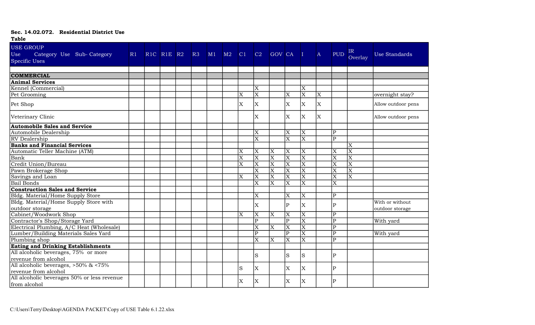| <b>Table</b>                                                               |    |                                                |                |           |                         |                         |                         |                         |                         |              |                         |                         |                    |
|----------------------------------------------------------------------------|----|------------------------------------------------|----------------|-----------|-------------------------|-------------------------|-------------------------|-------------------------|-------------------------|--------------|-------------------------|-------------------------|--------------------|
| <b>USE GROUP</b>                                                           |    |                                                |                |           |                         |                         |                         |                         |                         |              |                         |                         |                    |
| Use<br>Category Use Sub-Category                                           | R1 | R <sub>1C</sub> R <sub>1E</sub> R <sub>2</sub> | R <sub>3</sub> | $M1$ $M2$ | C1                      | C2                      | GOV CA                  |                         | $\blacksquare$          | $\mathbf{A}$ | PUD <sup></sup>         | IR                      | Use Standards      |
| <b>Specific Uses</b>                                                       |    |                                                |                |           |                         |                         |                         |                         |                         |              |                         | Overlay                 |                    |
|                                                                            |    |                                                |                |           |                         |                         |                         |                         |                         |              |                         |                         |                    |
| <b>COMMERCIAL</b>                                                          |    |                                                |                |           |                         |                         |                         |                         |                         |              |                         |                         |                    |
| <b>Animal Services</b>                                                     |    |                                                |                |           |                         |                         |                         |                         |                         |              |                         |                         |                    |
| Kennel (Commercial)                                                        |    |                                                |                |           |                         | $\overline{X}$          |                         |                         | X                       |              |                         |                         |                    |
| Pet Grooming                                                               |    |                                                |                |           | X                       | $\overline{\text{X}}$   |                         | X                       | $\overline{\mathrm{X}}$ | ΙX           |                         |                         | overnight stay?    |
| Pet Shop                                                                   |    |                                                |                |           | X                       | $\mathbf X$             |                         | X                       | $\mathbf X$             | ΙX           |                         |                         | Allow outdoor pens |
| Veterinary Clinic                                                          |    |                                                |                |           |                         | $\overline{X}$          |                         | $\overline{X}$          | X                       | lx.          |                         |                         | Allow outdoor pens |
| <b>Automobile Sales and Service</b>                                        |    |                                                |                |           |                         |                         |                         |                         |                         |              |                         |                         |                    |
| Automobile Dealership                                                      |    |                                                |                |           |                         | $\overline{\mathrm{x}}$ |                         | $\overline{\text{X}}$   | $\overline{\text{X}}$   |              | $\overline{\mathrm{P}}$ |                         |                    |
| <b>RV</b> Dealership                                                       |    |                                                |                |           |                         | $\overline{\text{X}}$   |                         | $\overline{\text{X}}$   | $\overline{\mathrm{X}}$ |              | $\overline{\text{P}}$   |                         |                    |
| <b>Banks and Financial Services</b>                                        |    |                                                |                |           |                         |                         |                         |                         |                         |              |                         | X                       |                    |
| Automatic Teller Machine (ATM)                                             |    |                                                |                |           | X                       | $\mathbf X$             | X                       | X                       | X                       |              | X                       | $\overline{\text{X}}$   |                    |
| Bank                                                                       |    |                                                |                |           | $\overline{\text{X}}$   | $\overline{\mathrm{X}}$ | $\overline{\text{X}}$   | $\overline{\text{X}}$   | $\overline{\mathrm{X}}$ |              | $\overline{\mathrm{X}}$ | $\overline{\text{X}}$   |                    |
| Credit Union/Bureau                                                        |    |                                                |                |           | X                       | $\overline{\mathrm{X}}$ | $\overline{\text{X}}$   | $\overline{\text{X}}$   | $\overline{\text{X}}$   |              | $\overline{\text{X}}$   | $\overline{\mathrm{X}}$ |                    |
| Pawn Brokerage Shop                                                        |    |                                                |                |           |                         | $\overline{\mathrm{x}}$ | $\overline{\text{X}}$   | $\overline{\text{X}}$   | $\overline{\text{X}}$   |              | $\overline{\text{X}}$   | $\overline{\mathrm{X}}$ |                    |
| Savings and Loan                                                           |    |                                                |                |           | $\overline{\mathrm{X}}$ | $\overline{\text{X}}$   | $\overline{\mathrm{x}}$ | $\overline{\text{X}}$   | $\overline{\mathrm{X}}$ |              | $\overline{\mathrm{x}}$ | $\overline{\text{X}}$   |                    |
| <b>Bail Bonds</b>                                                          |    |                                                |                |           |                         | X                       | X                       | X                       | $\overline{X}$          |              | X                       |                         |                    |
| <b>Construction Sales and Service</b>                                      |    |                                                |                |           |                         |                         |                         |                         |                         |              |                         |                         |                    |
| Bldg. Material/Home Supply Store                                           |    |                                                |                |           |                         | $\overline{\mathrm{X}}$ |                         | $\overline{\mathrm{X}}$ | $\overline{X}$          |              | $\overline{\mathrm{P}}$ |                         |                    |
| Bldg. Material/Home Supply Store with                                      |    |                                                |                |           |                         | X                       |                         | $\mathbf{P}$            | X                       |              | $\overline{P}$          |                         | With or without    |
| outdoor storage                                                            |    |                                                |                |           |                         |                         |                         |                         |                         |              |                         |                         | outdoor storage    |
| Cabinet/Woodwork Shop                                                      |    |                                                |                |           | X                       | X                       | X                       | X                       | X                       |              | $\overline{P}$          |                         |                    |
| Contractor's Shop/Storage Yard                                             |    |                                                |                |           |                         | $\overline{\mathrm{P}}$ |                         | $\overline{P}$          | $\overline{\mathrm{X}}$ |              | $\overline{\text{P}}$   |                         | With yard          |
| Electrical Plumbing, A/C Heat (Wholesale)                                  |    |                                                |                |           |                         | $\overline{X}$          | $\overline{X}$          | $\overline{\mathbf{X}}$ | $\overline{\mathrm{X}}$ |              | $\overline{\mathrm{P}}$ |                         |                    |
| Lumber/Building Materials Sales Yard                                       |    |                                                |                |           |                         | $\overline{\mathrm{P}}$ |                         | $\overline{P}$          | $\overline{\mathrm{x}}$ |              | $\overline{\text{P}}$   |                         | With yard          |
| Plumbing shop                                                              |    |                                                |                |           |                         | $\overline{\mathrm{X}}$ | $\overline{\mathrm{x}}$ | $\overline{\text{X}}$   | $\overline{\mathrm{X}}$ |              | $\overline{P}$          |                         |                    |
|                                                                            |    |                                                |                |           |                         |                         |                         |                         |                         |              |                         |                         |                    |
| Eating and Drinking Establishments<br>All alcoholic beverages, 75% or more |    |                                                |                |           |                         | S                       |                         | S                       | S                       |              | P                       |                         |                    |
| revenue from alcohol                                                       |    |                                                |                |           |                         |                         |                         |                         |                         |              |                         |                         |                    |
| All alcoholic beverages, $>50\%$ & $<75\%$                                 |    |                                                |                |           | S                       | $\mathbf X$             |                         | X                       | X                       |              | P                       |                         |                    |
| revenue from alcohol                                                       |    |                                                |                |           |                         |                         |                         |                         |                         |              |                         |                         |                    |
| All alcoholic beverages 50% or less revenue                                |    |                                                |                |           | X                       | X                       |                         | X                       | X                       |              | P                       |                         |                    |
| from alcohol                                                               |    |                                                |                |           |                         |                         |                         |                         |                         |              |                         |                         |                    |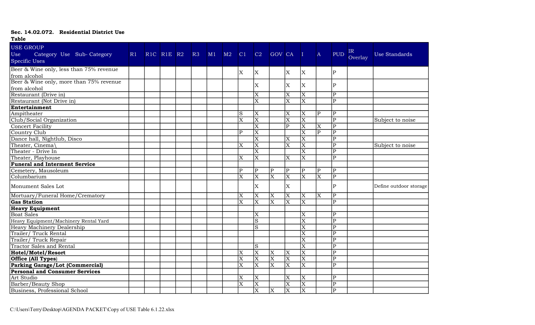| <b>Table</b>                                                          |    |            |    |    |    |                           |                         |                           |                         |                         |                         |                         |               |                        |
|-----------------------------------------------------------------------|----|------------|----|----|----|---------------------------|-------------------------|---------------------------|-------------------------|-------------------------|-------------------------|-------------------------|---------------|------------------------|
| <b>USE GROUP</b><br>Use<br>Category Use Sub-Category<br>Specific Uses | R1 | RIC RIE R2 | R3 | M1 | M2 | C1                        | C2                      | GOV CA                    |                         | $\blacksquare$          | $\mathbf{A}$            | <b>PUD</b>              | IR<br>Overlay | Use Standards          |
| Beer & Wine only, less than 75% revenue                               |    |            |    |    |    | $\mathbf X$               | X.                      |                           | $\mathbf{X}$            | X.                      |                         | P                       |               |                        |
| from alcohol                                                          |    |            |    |    |    |                           |                         |                           |                         |                         |                         |                         |               |                        |
| Beer & Wine only, more than 75% revenue<br>from alcohol               |    |            |    |    |    |                           | X                       |                           | X                       | X                       |                         | $\overline{\mathrm{P}}$ |               |                        |
| Restaurant (Drive in)                                                 |    |            |    |    |    |                           | $\overline{\text{X}}$   |                           | $\overline{\text{X}}$   | $\overline{\text{X}}$   |                         | $\overline{\text{P}}$   |               |                        |
| Restaurant (Not Drive in)                                             |    |            |    |    |    |                           | $\overline{X}$          |                           | $\overline{\text{X}}$   | $\overline{\mathrm{x}}$ |                         | $\overline{P}$          |               |                        |
| Entertainment                                                         |    |            |    |    |    |                           |                         |                           |                         |                         |                         |                         |               |                        |
| Ampitheater                                                           |    |            |    |    |    | S                         | $\overline{\text{X}}$   |                           | $\overline{\text{X}}$   | $\overline{\text{X}}$   | $\overline{P}$          | $\overline{\text{P}}$   |               |                        |
| Club/Social Organization                                              |    |            |    |    |    | X                         | $\overline{X}$          |                           | $\overline{\mathrm{X}}$ | $\overline{X}$          |                         | $\overline{\mathrm{P}}$ |               | Subject to noise       |
| Concert Facility                                                      |    |            |    |    |    |                           | $\overline{\text{X}}$   |                           | $\overline{P}$          | $\overline{\mathrm{X}}$ | ΙX                      | $\overline{P}$          |               |                        |
| Country Club                                                          |    |            |    |    |    | $ {\bf p} $               | $\overline{\mathrm{x}}$ |                           |                         | $\overline{\mathrm{x}}$ | P                       | $\overline{\text{P}}$   |               |                        |
| Dance hall, Nightlub, Disco                                           |    |            |    |    |    |                           | $\overline{\mathrm{x}}$ |                           | X                       | $\overline{X}$          |                         | $\overline{P}$          |               |                        |
| Theater, Cinema                                                       |    |            |    |    |    | X                         | $\overline{\text{X}}$   |                           | $\overline{\text{X}}$   | $\overline{\mathrm{X}}$ |                         | $\overline{\mathrm{P}}$ |               | Subject to noise       |
| Theater - Drive In                                                    |    |            |    |    |    |                           | $\overline{\mathrm{x}}$ |                           |                         | $\overline{\mathrm{x}}$ |                         | $\overline{\text{P}}$   |               |                        |
| Theater, Playhouse                                                    |    |            |    |    |    | X                         | $\overline{\mathrm{X}}$ |                           | X                       | $\overline{\mathbf{X}}$ |                         | P                       |               |                        |
| <b>Funeral and Interment Service</b>                                  |    |            |    |    |    |                           |                         |                           |                         |                         |                         |                         |               |                        |
| Cemetery, Mausoleum                                                   |    |            |    |    |    | $\overline{P}$            | ${\bf P}$               | $\overline{P}$            | $\mathbf{P}$            | $\mathbf{P}$            | P                       | $\overline{\mathrm{P}}$ |               |                        |
| Columbarium                                                           |    |            |    |    |    | X                         | $\overline{\text{X}}$   | $\overline{\mathrm{X}}$   | $\overline{\text{X}}$   | $\overline{\mathrm{x}}$ | $\overline{\mathrm{x}}$ | $\overline{P}$          |               |                        |
| Monument Sales Lot                                                    |    |            |    |    |    |                           | lx.                     |                           | X                       |                         |                         | $\overline{P}$          |               | Define outdoor storage |
| Mortuary/Funeral Home/Crematory                                       |    |            |    |    |    | X                         | $\mathbf X$             | X                         | X                       | X                       | Ιx                      | $\overline{P}$          |               |                        |
| <b>Gas Station</b>                                                    |    |            |    |    |    | $\overline{\mathrm{x}}$   | $\overline{\text{X}}$   | $\overline{\mathrm{x}}$   | $\overline{\text{X}}$   | $\overline{\text{X}}$   |                         | $\overline{P}$          |               |                        |
| <b>Heavy Equipment</b>                                                |    |            |    |    |    |                           |                         |                           |                         |                         |                         |                         |               |                        |
| <b>Boat Sales</b>                                                     |    |            |    |    |    |                           | X                       |                           |                         | X                       |                         | $\overline{P}$          |               |                        |
| Heavy Equipment/Machinery Rental Yard                                 |    |            |    |    |    |                           | $\overline{s}$          |                           |                         | $\overline{\text{X}}$   |                         | $\overline{P}$          |               |                        |
| Heavy Machinery Dealership                                            |    |            |    |    |    |                           | S                       |                           |                         | $\overline{\mathrm{X}}$ |                         | $\overline{P}$          |               |                        |
| Trailer/Truck Rental                                                  |    |            |    |    |    |                           |                         |                           |                         | X                       |                         | $\overline{\text{P}}$   |               |                        |
| Trailer/Truck Repair                                                  |    |            |    |    |    |                           |                         |                           |                         | $\overline{\text{X}}$   |                         | $\overline{P}$          |               |                        |
| <b>Tractor Sales and Rental</b>                                       |    |            |    |    |    |                           | S                       |                           |                         | $\overline{\mathrm{X}}$ |                         | $\overline{P}$          |               |                        |
| <b>Hotel/Motel/Resort</b>                                             |    |            |    |    |    | $\overline{\mathrm{X}}$   | $\mathbf X$             | $\boldsymbol{\mathrm{X}}$ | X                       | $\overline{\mathrm{X}}$ |                         | $\overline{\text{P}}$   |               |                        |
| Office (All Types)<br>Parking Garage/Lot (Commercial)                 |    |            |    |    |    | $\overline{\text{X}}$     | $\overline{\text{X}}$   | $\overline{\text{X}}$     | $\overline{\text{X}}$   | $\overline{\mathrm{X}}$ |                         | $\overline{\text{P}}$   |               |                        |
|                                                                       |    |            |    |    |    | X                         | $\overline{\mathrm{X}}$ | $\overline{\mathrm{x}}$   | $\overline{\mathrm{X}}$ | $\overline{\mathrm{x}}$ |                         | $\overline{\mathrm{P}}$ |               |                        |
| Personal and Consumer Services                                        |    |            |    |    |    |                           |                         |                           |                         |                         |                         |                         |               |                        |
| Art Studio                                                            |    |            |    |    |    | $\boldsymbol{\mathrm{X}}$ | X                       |                           | X                       | X                       |                         | $\overline{P}$          |               |                        |
| Barber/Beauty Shop                                                    |    |            |    |    |    | $\overline{\mathrm{X}}$   | $\overline{\mathrm{X}}$ |                           | $\overline{\text{X}}$   | $\overline{\text{X}}$   |                         | $\overline{\mathrm{P}}$ |               |                        |
| Business, Professional School                                         |    |            |    |    |    |                           | $\overline{\mathrm{X}}$ | $\overline{\mathrm{X}}$   | $\overline{\mathrm{X}}$ | $\overline{\mathrm{x}}$ |                         | $\overline{P}$          |               |                        |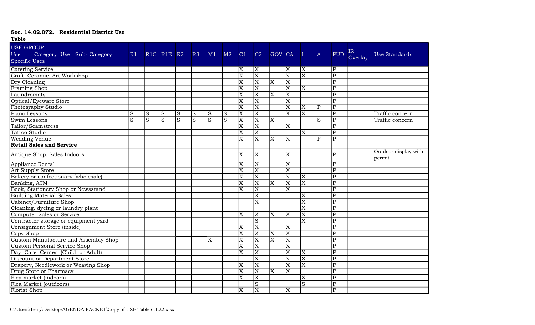| <b>Table</b>                                                          |    |   |                                                |              |    |             |    |                         |                         |                       |                         |                         |              |                         |                |                                |
|-----------------------------------------------------------------------|----|---|------------------------------------------------|--------------|----|-------------|----|-------------------------|-------------------------|-----------------------|-------------------------|-------------------------|--------------|-------------------------|----------------|--------------------------------|
| <b>USE GROUP</b><br>Use<br>Category Use Sub-Category<br>Specific Uses | R1 |   | R <sub>1C</sub> R <sub>1E</sub> R <sub>2</sub> |              | R3 | M1          | M2 | C1                      | C2                      | <b>GOV CA</b>         |                         | $\mathbf{I}$            | $\mathbf{A}$ | <b>PUD</b>              | IR.<br>Overlay | Use Standards                  |
| Catering Service<br>Craft, Ceramic, Art Workshop                      |    |   |                                                |              |    |             |    | ΙX                      | X                       |                       | X                       | X                       |              | P                       |                |                                |
|                                                                       |    |   |                                                |              |    |             |    | $\overline{\mathrm{x}}$ | $\overline{\text{X}}$   |                       | $\overline{\mathrm{X}}$ | $\overline{\mathrm{X}}$ |              | $\overline{\text{P}}$   |                |                                |
| Dry Cleaning                                                          |    |   |                                                |              |    |             |    | ΙX                      | $\overline{\mathrm{x}}$ | X                     | X                       |                         |              | $\mathbf{P}$            |                |                                |
| Framing Shop                                                          |    |   |                                                |              |    |             |    | X                       | $\overline{\mathrm{X}}$ |                       | $\overline{X}$          | X                       |              | $\overline{P}$          |                |                                |
| Laundromats                                                           |    |   |                                                |              |    |             |    | $\overline{\text{X}}$   | $\overline{\text{X}}$   | $\overline{\text{X}}$ | $\overline{\text{X}}$   |                         |              | $\overline{\text{P}}$   |                |                                |
| Optical/Eyeware Store                                                 |    |   |                                                |              |    |             |    | ΙX                      | $\overline{\mathrm{x}}$ |                       | $\overline{\mathrm{X}}$ |                         |              | $\overline{P}$          |                |                                |
| Photography Studio                                                    |    |   |                                                |              |    |             |    | $\overline{\mathrm{X}}$ | $\overline{\text{X}}$   |                       | $\overline{X}$          | $\overline{X}$          | Þ            | $\overline{P}$          |                |                                |
| Piano Lessons                                                         | S  | S | S                                              | S            | S  | S           | S  | $\overline{\mathrm{X}}$ | $\overline{\text{X}}$   |                       | $\overline{\mathrm{X}}$ | $\overline{\mathrm{X}}$ |              | $\overline{\mathrm{P}}$ |                | Traffic concern                |
| Swim Lessons                                                          | S  | S | S.                                             | <sub>S</sub> | S  | S           | S  | ΙX                      | X                       | X                     |                         |                         | lS           | $\overline{P}$          |                | Traffic concern                |
| Tailor/Seamstress                                                     |    |   |                                                |              |    |             |    | ΙX                      | $\overline{\mathrm{X}}$ |                       | $\mathbf X$             |                         |              | $\overline{P}$          |                |                                |
| Tattoo Studio                                                         |    |   |                                                |              |    |             |    | Ιx                      | $\overline{\text{X}}$   |                       |                         | $\overline{\mathrm{X}}$ |              | $\overline{\mathrm{P}}$ |                |                                |
| <b>Wedding Venue</b>                                                  |    |   |                                                |              |    |             |    | X                       | $\overline{X}$          | X                     | $\mathbf X$             |                         | $\mathbf{p}$ | $\mathbf{P}$            |                |                                |
| <b>Retail Sales and Service</b>                                       |    |   |                                                |              |    |             |    |                         |                         |                       |                         |                         |              |                         |                |                                |
| Antique Shop, Sales Indoors                                           |    |   |                                                |              |    |             |    | <sup>X</sup>            | X                       |                       | X                       |                         |              | ${\bf P}$               |                | Outdoor display with<br>permit |
| Appliance Rental                                                      |    |   |                                                |              |    |             |    | ΙX                      | X                       |                       | X                       |                         |              | $\overline{P}$          |                |                                |
|                                                                       |    |   |                                                |              |    |             |    | $\overline{\mathrm{X}}$ | $\overline{\text{X}}$   |                       | $\overline{\mathrm{X}}$ |                         |              | $\overline{P}$          |                |                                |
| Art Supply Store<br>Bakery or confectionary (wholesale)               |    |   |                                                |              |    |             |    | ΙX                      | $\overline{\mathrm{X}}$ |                       | $\overline{\mathrm{X}}$ | X                       |              | $\overline{P}$          |                |                                |
| Banking, ATM                                                          |    |   |                                                |              |    |             |    | $\overline{\mathrm{x}}$ | $\overline{\text{X}}$   | $\overline{\text{X}}$ | $\overline{\text{X}}$   | $\overline{\text{X}}$   |              | $\overline{P}$          |                |                                |
| Book, Stationery Shop or Newsstand                                    |    |   |                                                |              |    |             |    | $\overline{\text{X}}$   | $\overline{\text{X}}$   |                       | $\overline{\mathrm{X}}$ |                         |              | $\overline{P}$          |                |                                |
| Building Material Sales                                               |    |   |                                                |              |    |             |    |                         | X                       |                       |                         | X                       |              | $\mathbf{P}$            |                |                                |
| Cabinet/Furniture Shop                                                |    |   |                                                |              |    |             |    |                         | $\overline{\text{X}}$   |                       |                         | $\overline{\mathrm{X}}$ |              | $\overline{P}$          |                |                                |
|                                                                       |    |   |                                                |              |    |             |    |                         |                         |                       |                         | $\overline{\mathrm{X}}$ |              | $\overline{P}$          |                |                                |
| Cleaning, dyeing or laundry plant<br>Computer Sales or Service        |    |   |                                                |              |    |             |    | ΙX                      | X                       | X                     | X                       | $\overline{X}$          |              | $\mathbf{P}$            |                |                                |
| Contractor storage or equipment yard                                  |    |   |                                                |              |    |             |    |                         | $\overline{s}$          |                       |                         | $\overline{\text{X}}$   |              | $\overline{P}$          |                |                                |
| Consignment Store (inside)                                            |    |   |                                                |              |    |             |    | $\overline{\text{X}}$   | $\overline{\text{X}}$   |                       | $\overline{\text{X}}$   |                         |              | $\overline{\mathrm{P}}$ |                |                                |
| Copy Shop                                                             |    |   |                                                |              |    |             |    | ΙX                      | $\overline{\mathbf{X}}$ | X                     | $\overline{X}$          |                         |              | $\overline{P}$          |                |                                |
| Custom Manufacture and Assembly Shop                                  |    |   |                                                |              |    | $\mathbf X$ |    | $\vert$ X               | $\overline{\text{X}}$   | $\overline{\text{X}}$ | $\overline{\text{X}}$   |                         |              | $\overline{P}$          |                |                                |
| Custom Personal Service Shop                                          |    |   |                                                |              |    |             |    | $\overline{\text{X}}$   | $\overline{\text{X}}$   |                       | $\overline{\mathrm{X}}$ |                         |              | $\overline{P}$          |                |                                |
| Day Care Center (Child or Adult)                                      |    |   |                                                |              |    |             |    | $\overline{\mathrm{X}}$ | $\overline{\mathrm{X}}$ |                       | $\overline{X}$          | X                       |              | $\overline{P}$          |                |                                |
| Discount or Department Store                                          |    |   |                                                |              |    |             |    |                         | $\overline{\text{X}}$   |                       | $\overline{\mathrm{X}}$ | $\overline{\mathrm{X}}$ |              | $\overline{\text{P}}$   |                |                                |
| Drapery, Needlework or Weaving Shop                                   |    |   |                                                |              |    |             |    | $\overline{\text{X}}$   | $\overline{\text{X}}$   |                       | $\overline{\text{X}}$   | $\overline{\text{X}}$   |              | $\overline{P}$          |                |                                |
| Drug Store or Pharmacy                                                |    |   |                                                |              |    |             |    | ΙX                      | X                       | X                     | $\overline{\mathrm{X}}$ |                         |              | $\overline{P}$          |                |                                |
| Flea market (indoors)                                                 |    |   |                                                |              |    |             |    | ΙX                      | X                       |                       |                         | X                       |              | $\overline{P}$          |                |                                |
| Flea Market (outdoors)                                                |    |   |                                                |              |    |             |    |                         | S                       |                       |                         | $\overline{S}$          |              | $\overline{\text{P}}$   |                |                                |
| Florist Shop                                                          |    |   |                                                |              |    |             |    | ΙX                      | $\overline{\text{X}}$   |                       | X                       |                         |              | $\overline{P}$          |                |                                |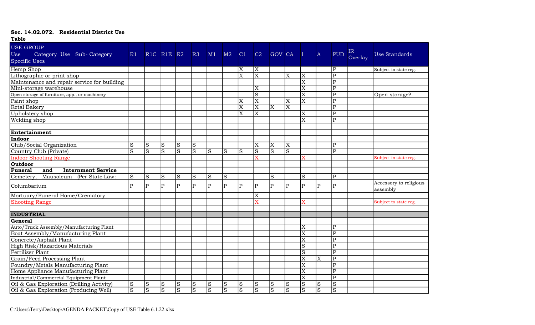| <b>Table</b>                                                                 |                |                |                |                |                |                |                |                         |                         |                         |                       |                         |                         |                         |               |                                    |
|------------------------------------------------------------------------------|----------------|----------------|----------------|----------------|----------------|----------------|----------------|-------------------------|-------------------------|-------------------------|-----------------------|-------------------------|-------------------------|-------------------------|---------------|------------------------------------|
| <b>USE GROUP</b><br>Use<br>Category Use Sub-Category<br><b>Specific Uses</b> | R1             |                | RIC RIE R2     |                | R3             | M1             | M2             | C1                      | C2                      | <b>GOV CA</b>           |                       |                         | $\mathbf{A}$            | <b>PUD</b>              | IR<br>Overlay | <b>Use Standards</b>               |
| Hemp Shop                                                                    |                |                |                |                |                |                |                | Χ                       | X                       |                         |                       |                         |                         | P                       |               | Subject to state reg.              |
| Lithographic or print shop                                                   |                |                |                |                |                |                |                | $\overline{\mathrm{x}}$ | $\overline{\mathrm{x}}$ |                         | $\overline{\text{X}}$ | $\overline{\mathrm{X}}$ |                         | $\overline{\text{P}}$   |               |                                    |
| Maintenance and repair service for building                                  |                |                |                |                |                |                |                |                         |                         |                         |                       | $\overline{\text{X}}$   |                         | $\mathbf P$             |               |                                    |
| Mini-storage warehouse                                                       |                |                |                |                |                |                |                |                         | X                       |                         |                       | X                       |                         | $\overline{P}$          |               |                                    |
| Open storage of furniture, app., or machinery                                |                |                |                |                |                |                |                |                         | $\overline{s}$          |                         |                       | $\overline{\mathrm{X}}$ |                         | $\overline{\mathrm{P}}$ |               | Open storage?                      |
| Paint shop                                                                   |                |                |                |                |                |                |                | ΙX                      | $\overline{\text{X}}$   |                         | X                     | $\overline{\text{X}}$   |                         | $\overline{\mathrm{P}}$ |               |                                    |
| <b>Retal Bakery</b>                                                          |                |                |                |                |                |                |                | $\overline{\mathrm{X}}$ | $\overline{\text{X}}$   | $\overline{\mathrm{X}}$ | $\overline{X}$        |                         |                         | $\mathbf{P}$            |               |                                    |
| Upholstery shop                                                              |                |                |                |                |                |                |                | $\overline{\mathrm{x}}$ | $\overline{\mathrm{x}}$ |                         |                       | $\overline{\mathrm{X}}$ |                         | $\overline{\mathrm{P}}$ |               |                                    |
| Welding shop                                                                 |                |                |                |                |                |                |                |                         |                         |                         |                       | $\overline{\text{X}}$   |                         | P                       |               |                                    |
|                                                                              |                |                |                |                |                |                |                |                         |                         |                         |                       |                         |                         |                         |               |                                    |
| Entertainment                                                                |                |                |                |                |                |                |                |                         |                         |                         |                       |                         |                         |                         |               |                                    |
| Indoor                                                                       |                |                |                |                |                |                |                |                         |                         |                         |                       |                         |                         |                         |               |                                    |
| Club/Social Organization                                                     | S              | S              | S              | $\rm S$        | S              |                |                |                         | $\overline{\mathrm{X}}$ | X                       | $\overline{\text{X}}$ |                         |                         | $\mathbf{P}$            |               |                                    |
| Country Club (Private)                                                       | S              | lS             | $\overline{S}$ | $\overline{S}$ | $\overline{S}$ | lS.            | S              | ls                      | $\overline{S}$          | $\overline{S}$          | $\overline{S}$        |                         |                         | $\overline{P}$          |               |                                    |
| <b>Indoor Shooting Range</b>                                                 |                |                |                |                |                |                |                |                         | $\bar{\mathbf{x}}$      |                         |                       |                         |                         |                         |               | Subject to state reg.              |
| <b>Outdoor</b>                                                               |                |                |                |                |                |                |                |                         |                         |                         |                       |                         |                         |                         |               |                                    |
| Funeral<br><b>Internment Service</b><br>and                                  |                |                |                |                |                |                |                |                         |                         |                         |                       |                         |                         |                         |               |                                    |
| Mausoleum (Per State Law:<br>Cemetery,                                       | S              | S              | S              | $\rm S$        | S              | S              | S              |                         |                         | S                       |                       | S                       |                         | P                       |               |                                    |
| Columbarium                                                                  | $\mathbf{p}$   | lP.            | $\mathbf{P}$   | $\mathbf{P}$   | $\mathbf{P}$   | P              | $\overline{P}$ | lP.                     | ${\bf P}$               | $\mathbf{P}$            | $\mathbf{P}$          | $\mathbf{P}$            | $\overline{P}$          | $\mathbf{P}$            |               | Accessory to religious<br>assembly |
| Mortuary/Funeral Home/Crematory                                              |                |                |                |                |                |                |                |                         | X                       |                         |                       |                         |                         |                         |               |                                    |
| <b>Shooting Range</b>                                                        |                |                |                |                |                |                |                |                         | X                       |                         |                       | X                       |                         |                         |               | Subject to state reg.              |
|                                                                              |                |                |                |                |                |                |                |                         |                         |                         |                       |                         |                         |                         |               |                                    |
| <b>INDUSTRIAL</b>                                                            |                |                |                |                |                |                |                |                         |                         |                         |                       |                         |                         |                         |               |                                    |
| General                                                                      |                |                |                |                |                |                |                |                         |                         |                         |                       |                         |                         |                         |               |                                    |
| Auto/Truck Assembly/Manufacturing Plant                                      |                |                |                |                |                |                |                |                         |                         |                         |                       | $\overline{\text{X}}$   |                         | $\mathbf P$             |               |                                    |
| Boat Assembly/Manufacturing Plant                                            |                |                |                |                |                |                |                |                         |                         |                         |                       | X                       |                         | P                       |               |                                    |
| Concrete/Asphalt Plant                                                       |                |                |                |                |                |                |                |                         |                         |                         |                       | X                       |                         | $\mathbf P$             |               |                                    |
| High Risk/Hazardous Materials                                                |                |                |                |                |                |                |                |                         |                         |                         |                       | $\overline{S}$          |                         | $\overline{P}$          |               |                                    |
| Fertilizer Plant                                                             |                |                |                |                |                |                |                |                         |                         |                         |                       | S                       |                         | $\mathbf{P}$            |               |                                    |
| Grain/Feed Processing Plant                                                  |                |                |                |                |                |                |                |                         |                         |                         |                       | X                       | $\overline{\mathrm{x}}$ | $\overline{\mathrm{P}}$ |               |                                    |
| Foundry/Metals Manufacturing Plant                                           |                |                |                |                |                |                |                |                         |                         |                         |                       | $\overline{\text{X}}$   |                         | $\overline{\text{P}}$   |               |                                    |
| Home Appliance Manufacturing Plant                                           |                |                |                |                |                |                |                |                         |                         |                         |                       | $\overline{X}$          |                         | P                       |               |                                    |
| Industrial/Commercial Equipment Plant                                        |                |                |                |                |                |                |                |                         |                         |                         |                       | $\overline{\mathrm{X}}$ |                         | $\overline{\mathrm{P}}$ |               |                                    |
| Oil & Gas Exploration (Drilling Activity)                                    | S              | <sub>S</sub>   | ${\bf S}$      | $\rm S$        | S              | S              | S              | lS.                     | S                       | S                       | ${\bf S}$             | $\overline{S}$          | $\mathbf S$             | $\rm S$                 |               |                                    |
| Oil & Gas Exploration (Producing Well)                                       | $\overline{S}$ | $\overline{S}$ | $\overline{S}$ | $\overline{S}$ | $\overline{S}$ | $\overline{S}$ | $\overline{S}$ | $ \mathrm{S} $          | $\overline{S}$          | $\overline{S}$          | $\overline{S}$        | $\overline{S}$          | $\overline{S}$          | $\overline{S}$          |               |                                    |